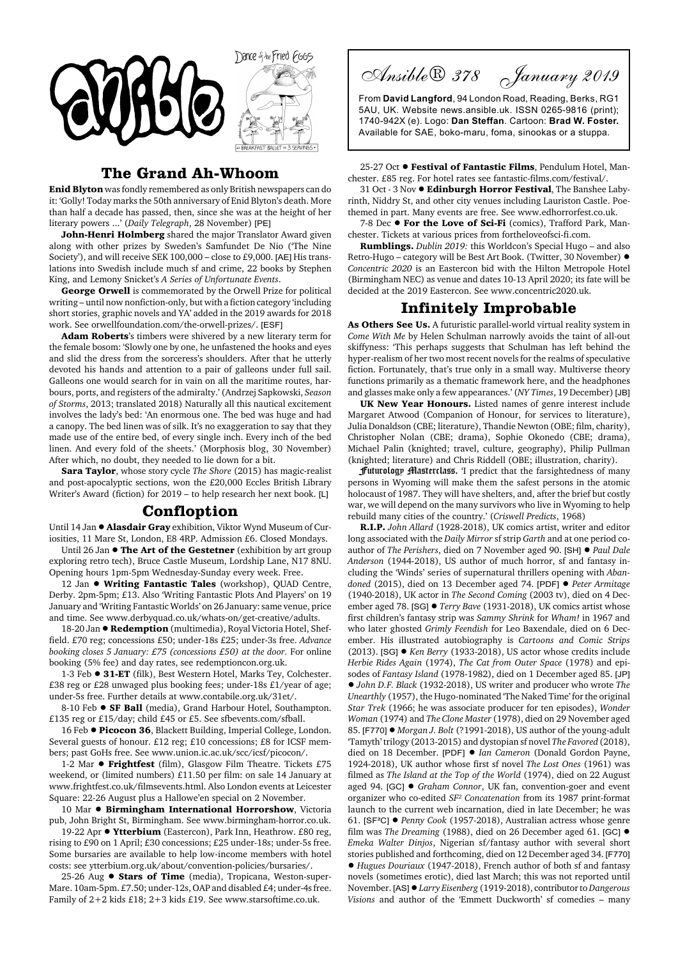

## **The Grand Ah-Whoom**

**Enid Blyton** was fondly remembered as only British newspapers can do it: 'Golly! Today marks the 50th anniversary of Enid Blyton's death. More than half a decade has passed, then, since she was at the height of her literary powers ...' (*Daily Telegraph*, 28 November) [PE]

**John-Henri Holmberg** shared the major Translator Award given along with other prizes by Sweden's Samfundet De Nio ('The Nine Society'), and will receive SEK 100,000 – close to £9,000. [AE] His translations into Swedish include much sf and crime, 22 books by Stephen King, and Lemony Snicket's *A Series of Unfortunate Events*.

**George Orwell** is commemorated by the Orwell Prize for political writing – until now nonfiction-only, but with a fiction category 'including short stories, graphic novels and YA' added in the 2019 awards for 2018 work. See orwellfoundation.com/the-orwell-prizes/. [ESF]

**Adam Roberts**'s timbers were shivered by a new literary term for the female bosom: 'Slowly one by one, he unfastened the hooks and eyes and slid the dress from the sorceress's shoulders. After that he utterly devoted his hands and attention to a pair of galleons under full sail. Galleons one would search for in vain on all the maritime routes, harbours, ports, and registers of the admiralty.' (Andrzej Sapkowski, *Season of Storms*, 2013; translated 2018) Naturally all this nautical excitement involves the lady's bed: 'An enormous one. The bed was huge and had a canopy. The bed linen was of silk. It's no exaggeration to say that they made use of the entire bed, of every single inch. Every inch of the bed linen. And every fold of the sheets.' (Morphosis blog, 30 November) After which, no doubt, they needed to lie down for a bit.

**Sara Taylor**, whose story cycle *The Shore* (2015) has magic-realist and post-apocalyptic sections, won the £20,000 Eccles British Library Writer's Award (fiction) for 2019 – to help research her next book. [L]

## **Confloption**

Until 14 Jan ! **Alasdair Gray** exhibition, Viktor Wynd Museum of Curiosities, 11 Mare St, London, E8 4RP. Admission £6. Closed Mondays.

Until 26 Jan  $\bullet$  **The Art of the Gestetner** (exhibition by art group exploring retro tech), Bruce Castle Museum, Lordship Lane, N17 8NU. Opening hours 1pm-5pm Wednesday-Sunday every week. Free.

12 Jan  $\bullet$  Writing Fantastic Tales (workshop), QUAD Centre, Derby. 2pm-5pm; £13. Also 'Writing Fantastic Plots And Players' on 19 January and 'Writing Fantastic Worlds' on 26 January: same venue, price and time. See www.derbyquad.co.uk/whats-on/get-creative/adults.

18-20 Jan  $\bullet$  **Redemption** (multimedia), Royal Victoria Hotel, Sheffield. £70 reg; concessions £50; under-18s £25; under-3s free. *Advance booking closes 5 January: £75 (concessions £50) at the door.* For online booking (5% fee) and day rates, see redemptioncon.org.uk.

1-3 Feb  $\bullet$  **31-ET** (filk), Best Western Hotel, Marks Tey, Colchester. £38 reg or £28 unwaged plus booking fees; under-18s £1/year of age; under-5s free. Further details at www.contabile.org.uk/31et/.

8-10 Feb  $\bullet$  **SF Ball** (media), Grand Harbour Hotel, Southampton. £135 reg or £15/day; child £45 or £5. See sfbevents.com/sfball.

16 Feb  $\bullet$  Picocon 36, Blackett Building, Imperial College, London. Several guests of honour. £12 reg; £10 concessions; £8 for ICSF members; past GoHs free. See www.union.ic.ac.uk/scc/icsf/picocon/.

1-2 Mar  $\bullet$  Frightfest (film), Glasgow Film Theatre. Tickets £75 weekend, or (limited numbers) £11.50 per film: on sale 14 January at www.frightfest.co.uk/filmsevents.html. Also London events at Leicester Square: 22-26 August plus a Hallowe'en special on 2 November.

10 Mar  $\bullet$  Birmingham International Horrorshow, Victoria pub, John Bright St, Birmingham. See www.birmingham-horror.co.uk.

19-22 Apr  $\bullet$  Ytterbium (Eastercon), Park Inn, Heathrow. £80 reg, rising to £90 on 1 April; £30 concessions; £25 under-18s; under-5s free. Some bursaries are available to help low-income members with hotel costs: see ytterbium.org.uk/about/convention-policies/bursaries/.

25-26 Aug  $\bullet$  **Stars of Time** (media), Tropicana, Weston-super-Mare. 10am-5pm. £7.50; under-12s, OAP and disabled £4; under-4s free. Family of 2+2 kids £18; 2+3 kids £19. See www.starsoftime.co.uk.

Ansible® 378 January 2019

From **David Langford**, 94 London Road, Reading, Berks, RG1 5AU, UK. Website news.ansible.uk. ISSN 0265-9816 (print); 1740-942X (e). Logo: **Dan Steffan**. Cartoon: **Brad W. Foster.** Available for SAE, boko-maru, foma, sinookas or a stuppa.

25-27 Oct  $\bullet$  Festival of Fantastic Films, Pendulum Hotel, Manchester. £85 reg. For hotel rates see fantastic-films.com/festival/.

31 Oct - 3 Nov ! **Edinburgh Horror Festival**, The Banshee Labyrinth, Niddry St, and other city venues including Lauriston Castle. Poethemed in part. Many events are free. See www.edhorrorfest.co.uk.

7-8 Dec  $\bullet$  For the Love of Sci-Fi (comics), Trafford Park, Manchester. Tickets at various prices from fortheloveofsci-fi.com.

**Rumblings.** *Dublin 2019:* this Worldcon's Special Hugo – and also Retro-Hugo – category will be Best Art Book. (Twitter, 30 November) ! *Concentric 2020* is an Eastercon bid with the Hilton Metropole Hotel (Birmingham NEC) as venue and dates 10-13 April 2020; its fate will be decided at the 2019 Eastercon. See www.concentric2020.uk.

## **Infinitely Improbable**

**As Others See Us.** A futuristic parallel-world virtual reality system in *Come With Me* by Helen Schulman narrowly avoids the taint of all-out skiffyness: 'This perhaps suggests that Schulman has left behind the hyper-realism of her two most recent novels for the realms of speculative fiction. Fortunately, that's true only in a small way. Multiverse theory functions primarily as a thematic framework here, and the headphones and glasses make only a few appearances.' (*NY Times*, 19 December) [JB]

**UK New Year Honours.** Listed names of genre interest include Margaret Atwood (Companion of Honour, for services to literature), Julia Donaldson (CBE; literature), Thandie Newton (OBE; film, charity), Christopher Nolan (CBE; drama), Sophie Okonedo (CBE; drama), Michael Palin (knighted; travel, culture, geography), Philip Pullman (knighted; literature) and Chris Riddell (OBE; illustration, charity).

Futurology Masterclass. 'I predict that the farsightedness of many persons in Wyoming will make them the safest persons in the atomic holocaust of 1987. They will have shelters, and, after the brief but costly war, we will depend on the many survivors who live in Wyoming to help rebuild many cities of the country.' (*Criswell Predicts*, 1968)

**R.I.P.** *John Allard* (1928-2018), UK comics artist, writer and editor long associated with the *Daily Mirror* sf strip *Garth* and at one period coauthor of *The Perishers*, died on 7 November aged 90. [SH] ! *Paul Dale Anderson* (1944-2018), US author of much horror, sf and fantasy including the 'Winds' series of supernatural thrillers opening with *Abandoned* (2015), died on 13 December aged 74. [PDF] ! *Peter Armitage* (1940-2018), UK actor in *The Second Coming* (2003 tv), died on 4 December aged 78. [SG] ! *Terry Bave* (1931-2018), UK comics artist whose first children's fantasy strip was *Sammy Shrink* for *Wham!* in 1967 and who later ghosted *Grimly Feendish* for Leo Baxendale, died on 6 December. His illustrated autobiography is *Cartoons and Comic Strips* (2013). [SG] ! *Ken Berry* (1933-2018), US actor whose credits include *Herbie Rides Again* (1974), *The Cat from Outer Space* (1978) and episodes of *Fantasy Island* (1978-1982), died on 1 December aged 85. [JP] ! *John D.F. Black* (1932-2018), US writer and producer who wrote *The Unearthly* (1957), the Hugo-nominated 'The Naked Time' for the original *Star Trek* (1966; he was associate producer for ten episodes), *Wonder Woman* (1974) and *The Clone Master* (1978), died on 29 November aged 85. [F770]  $\bullet$  *Morgan J. Bolt* (?1991-2018), US author of the young-adult 'Tamyth' trilogy (2013-2015) and dystopian sf novel *The Favored* (2018), died on 18 December. [PDF] ! *Ian Cameron* (Donald Gordon Payne, 1924-2018), UK author whose first sf novel *The Lost Ones* (1961) was filmed as *The Island at the Top of the World* (1974), died on 22 August aged 94. [GC] ! *Graham Connor*, UK fan, convention-goer and event organizer who co-edited *SF² Concatenation* from its 1987 print-format launch to the current web incarnation, died in late December; he was 61. [SF²C] ! *Penny Cook* (1957-2018), Australian actress whose genre film was *The Dreaming* (1988), died on 26 December aged 61. [GC] ! *Emeka Walter Dinjos*, Nigerian sf/fantasy author with several short stories published and forthcoming, died on 12 December aged 34. [F770] ! *Hugues Douriaux* (1947-2018), French author of both sf and fantasy novels (sometimes erotic), died last March; this was not reported until November. [AS]!*Larry Eisenberg* (1919-2018), contributor to *Dangerous Visions* and author of the 'Emmett Duckworth' sf comedies – many